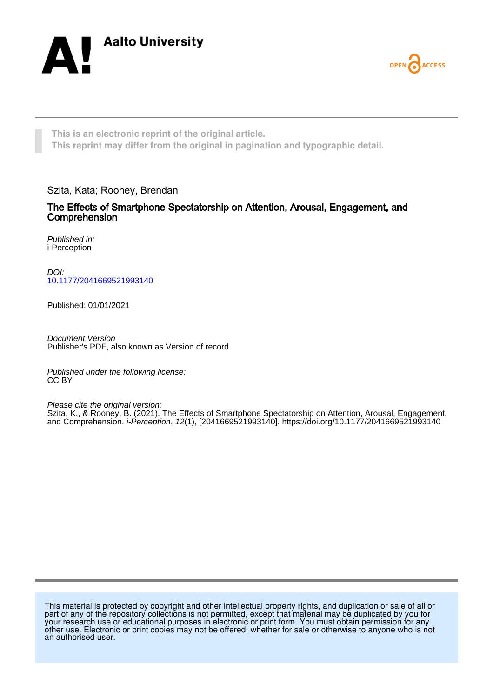



**This is an electronic reprint of the original article. This reprint may differ from the original in pagination and typographic detail.**

Szita, Kata; Rooney, Brendan

The Effects of Smartphone Spectatorship on Attention, Arousal, Engagement, and Comprehension

Published in: i-Perception

DOI: [10.1177/2041669521993140](https://doi.org/10.1177/2041669521993140)

Published: 01/01/2021

Document Version Publisher's PDF, also known as Version of record

Published under the following license: CC BY

Please cite the original version:

Szita, K., & Rooney, B. (2021). The Effects of Smartphone Spectatorship on Attention, Arousal, Engagement, and Comprehension. i-Perception, 12(1), [2041669521993140].<https://doi.org/10.1177/2041669521993140>

This material is protected by copyright and other intellectual property rights, and duplication or sale of all or part of any of the repository collections is not permitted, except that material may be duplicated by you for your research use or educational purposes in electronic or print form. You must obtain permission for any other use. Electronic or print copies may not be offered, whether for sale or otherwise to anyone who is not an authorised user.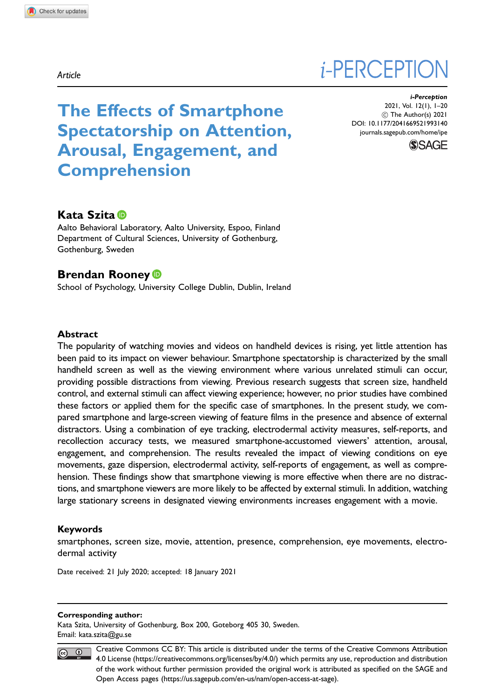# *i*-PERCEPTION

The Effects of Smartphone Spectatorship on Attention, Arousal, Engagement, and Comprehension

i-Perception 2021, Vol. 12(1), 1–20 ! The Author(s) 2021 [DOI: 10.1177/2041669521993140](http://dx.doi.org/10.1177/2041669521993140) <journals.sagepub.com/home/ipe>



# Kata Szita

Aalto Behavioral Laboratory, Aalto University, Espoo, Finland Department of Cultural Sciences, University of Gothenburg, Gothenburg, Sweden

# Brendan Rooney<sup>®</sup>

School of Psychology, University College Dublin, Dublin, Ireland

## Abstract

The popularity of watching movies and videos on handheld devices is rising, yet little attention has been paid to its impact on viewer behaviour. Smartphone spectatorship is characterized by the small handheld screen as well as the viewing environment where various unrelated stimuli can occur, providing possible distractions from viewing. Previous research suggests that screen size, handheld control, and external stimuli can affect viewing experience; however, no prior studies have combined these factors or applied them for the specific case of smartphones. In the present study, we compared smartphone and large-screen viewing of feature films in the presence and absence of external distractors. Using a combination of eye tracking, electrodermal activity measures, self-reports, and recollection accuracy tests, we measured smartphone-accustomed viewers' attention, arousal, engagement, and comprehension. The results revealed the impact of viewing conditions on eye movements, gaze dispersion, electrodermal activity, self-reports of engagement, as well as comprehension. These findings show that smartphone viewing is more effective when there are no distractions, and smartphone viewers are more likely to be affected by external stimuli. In addition, watching large stationary screens in designated viewing environments increases engagement with a movie.

## Keywords

smartphones, screen size, movie, attention, presence, comprehension, eye movements, electrodermal activity

Date received: 21 July 2020; accepted: 18 January 2021

#### Corresponding author:

Kata Szita, University of Gothenburg, Box 200, Goteborg 405 30, Sweden. Email: [kata.szita@gu.se](mailto:kata.szita@gu.se)



Creative Commons CC BY: This article is distributed under the terms of the Creative Commons Attribution 4.0 License (https://creativecommons.org/licenses/by/4.0/) which permits any use, reproduction and distribution of the work without further permission provided the original work is attributed as specified on the SAGE and Open Access pages (https://us.sagepub.com/en-us/nam/open-access-at-sage).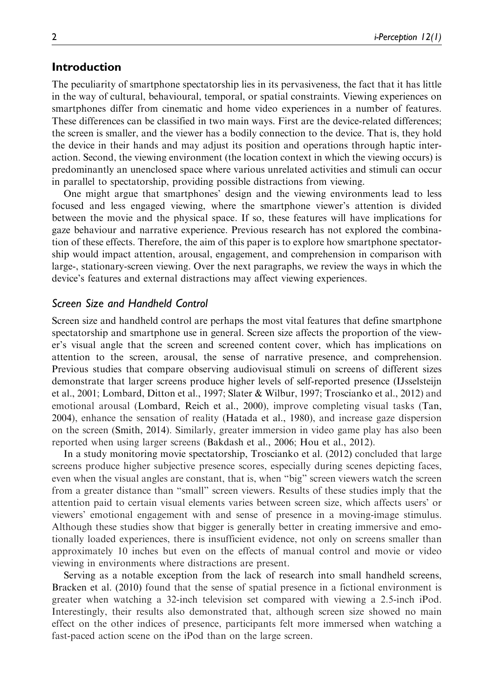## Introduction

The peculiarity of smartphone spectatorship lies in its pervasiveness, the fact that it has little in the way of cultural, behavioural, temporal, or spatial constraints. Viewing experiences on smartphones differ from cinematic and home video experiences in a number of features. These differences can be classified in two main ways. First are the device-related differences; the screen is smaller, and the viewer has a bodily connection to the device. That is, they hold the device in their hands and may adjust its position and operations through haptic interaction. Second, the viewing environment (the location context in which the viewing occurs) is predominantly an unenclosed space where various unrelated activities and stimuli can occur in parallel to spectatorship, providing possible distractions from viewing.

One might argue that smartphones' design and the viewing environments lead to less focused and less engaged viewing, where the smartphone viewer's attention is divided between the movie and the physical space. If so, these features will have implications for gaze behaviour and narrative experience. Previous research has not explored the combination of these effects. Therefore, the aim of this paper is to explore how smartphone spectatorship would impact attention, arousal, engagement, and comprehension in comparison with large-, stationary-screen viewing. Over the next paragraphs, we review the ways in which the device's features and external distractions may affect viewing experiences.

## Screen Size and Handheld Control

Screen size and handheld control are perhaps the most vital features that define smartphone spectatorship and smartphone use in general. Screen size affects the proportion of the viewer's visual angle that the screen and screened content cover, which has implications on attention to the screen, arousal, the sense of narrative presence, and comprehension. Previous studies that compare observing audiovisual stimuli on screens of different sizes demonstrate that larger screens produce higher levels of self-reported presence (IJsselsteijn et al., 2001; Lombard, Ditton et al., 1997; Slater & Wilbur, 1997; Troscianko et al., 2012) and emotional arousal (Lombard, Reich et al., 2000), improve completing visual tasks (Tan, 2004), enhance the sensation of reality (Hatada et al., 1980), and increase gaze dispersion on the screen (Smith, 2014). Similarly, greater immersion in video game play has also been reported when using larger screens (Bakdash et al., 2006; Hou et al., 2012).

In a study monitoring movie spectatorship, Troscianko et al. (2012) concluded that large screens produce higher subjective presence scores, especially during scenes depicting faces, even when the visual angles are constant, that is, when "big" screen viewers watch the screen from a greater distance than "small" screen viewers. Results of these studies imply that the attention paid to certain visual elements varies between screen size, which affects users' or viewers' emotional engagement with and sense of presence in a moving-image stimulus. Although these studies show that bigger is generally better in creating immersive and emotionally loaded experiences, there is insufficient evidence, not only on screens smaller than approximately 10 inches but even on the effects of manual control and movie or video viewing in environments where distractions are present.

Serving as a notable exception from the lack of research into small handheld screens, Bracken et al. (2010) found that the sense of spatial presence in a fictional environment is greater when watching a 32-inch television set compared with viewing a 2.5-inch iPod. Interestingly, their results also demonstrated that, although screen size showed no main effect on the other indices of presence, participants felt more immersed when watching a fast-paced action scene on the iPod than on the large screen.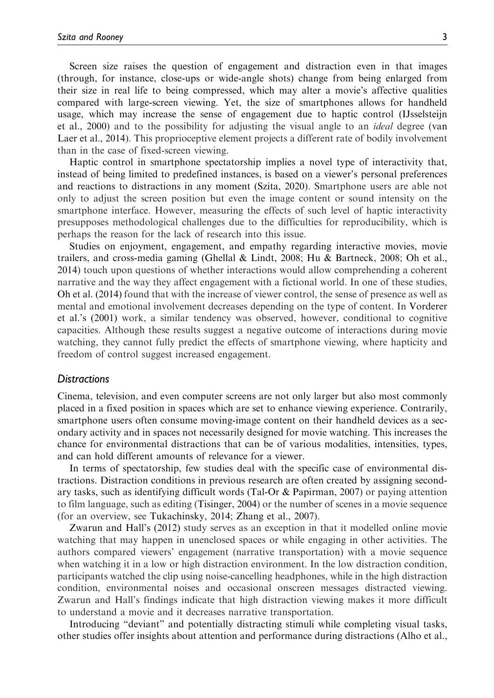Screen size raises the question of engagement and distraction even in that images (through, for instance, close-ups or wide-angle shots) change from being enlarged from their size in real life to being compressed, which may alter a movie's affective qualities compared with large-screen viewing. Yet, the size of smartphones allows for handheld usage, which may increase the sense of engagement due to haptic control (IJsselsteijn et al., 2000) and to the possibility for adjusting the visual angle to an *ideal* degree (van Laer et al., 2014). This proprioceptive element projects a different rate of bodily involvement than in the case of fixed-screen viewing.

Haptic control in smartphone spectatorship implies a novel type of interactivity that, instead of being limited to predefined instances, is based on a viewer's personal preferences and reactions to distractions in any moment (Szita, 2020). Smartphone users are able not only to adjust the screen position but even the image content or sound intensity on the smartphone interface. However, measuring the effects of such level of haptic interactivity presupposes methodological challenges due to the difficulties for reproducibility, which is perhaps the reason for the lack of research into this issue.

Studies on enjoyment, engagement, and empathy regarding interactive movies, movie trailers, and cross-media gaming (Ghellal & Lindt, 2008; Hu & Bartneck, 2008; Oh et al., 2014) touch upon questions of whether interactions would allow comprehending a coherent narrative and the way they affect engagement with a fictional world. In one of these studies, Oh et al. (2014) found that with the increase of viewer control, the sense of presence as well as mental and emotional involvement decreases depending on the type of content. In Vorderer et al.'s (2001) work, a similar tendency was observed, however, conditional to cognitive capacities. Although these results suggest a negative outcome of interactions during movie watching, they cannot fully predict the effects of smartphone viewing, where hapticity and freedom of control suggest increased engagement.

## **Distractions**

Cinema, television, and even computer screens are not only larger but also most commonly placed in a fixed position in spaces which are set to enhance viewing experience. Contrarily, smartphone users often consume moving-image content on their handheld devices as a secondary activity and in spaces not necessarily designed for movie watching. This increases the chance for environmental distractions that can be of various modalities, intensities, types, and can hold different amounts of relevance for a viewer.

In terms of spectatorship, few studies deal with the specific case of environmental distractions. Distraction conditions in previous research are often created by assigning secondary tasks, such as identifying difficult words (Tal-Or & Papirman, 2007) or paying attention to film language, such as editing (Tisinger, 2004) or the number of scenes in a movie sequence (for an overview, see Tukachinsky, 2014; Zhang et al., 2007).

Zwarun and Hall's (2012) study serves as an exception in that it modelled online movie watching that may happen in unenclosed spaces or while engaging in other activities. The authors compared viewers' engagement (narrative transportation) with a movie sequence when watching it in a low or high distraction environment. In the low distraction condition, participants watched the clip using noise-cancelling headphones, while in the high distraction condition, environmental noises and occasional onscreen messages distracted viewing. Zwarun and Hall's findings indicate that high distraction viewing makes it more difficult to understand a movie and it decreases narrative transportation.

Introducing "deviant" and potentially distracting stimuli while completing visual tasks, other studies offer insights about attention and performance during distractions (Alho et al.,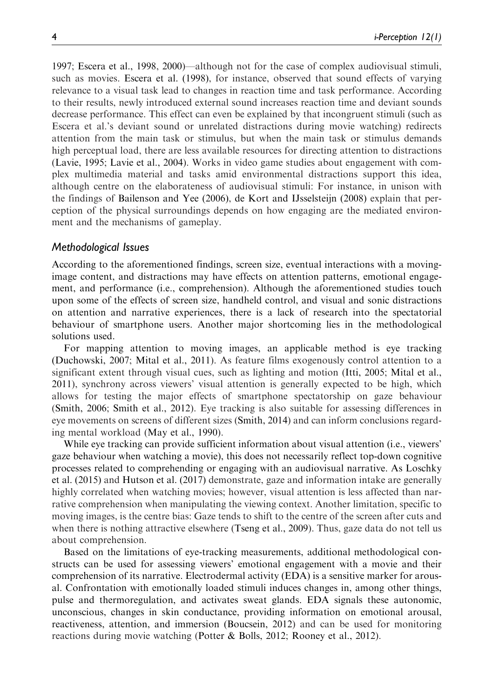1997; Escera et al., 1998, 2000)—although not for the case of complex audiovisual stimuli, such as movies. Escera et al. (1998), for instance, observed that sound effects of varying relevance to a visual task lead to changes in reaction time and task performance. According to their results, newly introduced external sound increases reaction time and deviant sounds decrease performance. This effect can even be explained by that incongruent stimuli (such as Escera et al.'s deviant sound or unrelated distractions during movie watching) redirects attention from the main task or stimulus, but when the main task or stimulus demands high perceptual load, there are less available resources for directing attention to distractions (Lavie, 1995; Lavie et al., 2004). Works in video game studies about engagement with complex multimedia material and tasks amid environmental distractions support this idea, although centre on the elaborateness of audiovisual stimuli: For instance, in unison with the findings of Bailenson and Yee (2006), de Kort and IJsselsteijn (2008) explain that perception of the physical surroundings depends on how engaging are the mediated environment and the mechanisms of gameplay.

## Methodological Issues

According to the aforementioned findings, screen size, eventual interactions with a movingimage content, and distractions may have effects on attention patterns, emotional engagement, and performance (i.e., comprehension). Although the aforementioned studies touch upon some of the effects of screen size, handheld control, and visual and sonic distractions on attention and narrative experiences, there is a lack of research into the spectatorial behaviour of smartphone users. Another major shortcoming lies in the methodological solutions used.

For mapping attention to moving images, an applicable method is eye tracking (Duchowski, 2007; Mital et al., 2011). As feature films exogenously control attention to a significant extent through visual cues, such as lighting and motion (Itti, 2005; Mital et al., 2011), synchrony across viewers' visual attention is generally expected to be high, which allows for testing the major effects of smartphone spectatorship on gaze behaviour (Smith, 2006; Smith et al., 2012). Eye tracking is also suitable for assessing differences in eye movements on screens of different sizes (Smith, 2014) and can inform conclusions regarding mental workload (May et al., 1990).

While eye tracking can provide sufficient information about visual attention (i.e., viewers' gaze behaviour when watching a movie), this does not necessarily reflect top-down cognitive processes related to comprehending or engaging with an audiovisual narrative. As Loschky et al. (2015) and Hutson et al. (2017) demonstrate, gaze and information intake are generally highly correlated when watching movies; however, visual attention is less affected than narrative comprehension when manipulating the viewing context. Another limitation, specific to moving images, is the centre bias: Gaze tends to shift to the centre of the screen after cuts and when there is nothing attractive elsewhere (Tseng et al., 2009). Thus, gaze data do not tell us about comprehension.

Based on the limitations of eye-tracking measurements, additional methodological constructs can be used for assessing viewers' emotional engagement with a movie and their comprehension of its narrative. Electrodermal activity (EDA) is a sensitive marker for arousal. Confrontation with emotionally loaded stimuli induces changes in, among other things, pulse and thermoregulation, and activates sweat glands. EDA signals these autonomic, unconscious, changes in skin conductance, providing information on emotional arousal, reactiveness, attention, and immersion (Boucsein, 2012) and can be used for monitoring reactions during movie watching (Potter & Bolls, 2012; Rooney et al., 2012).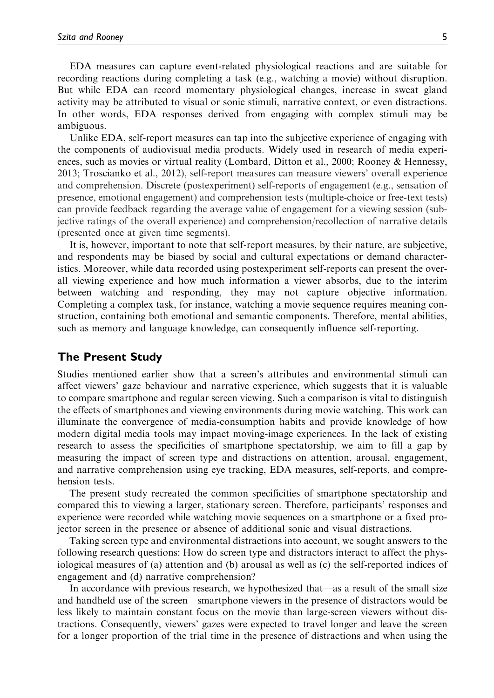EDA measures can capture event-related physiological reactions and are suitable for recording reactions during completing a task (e.g., watching a movie) without disruption. But while EDA can record momentary physiological changes, increase in sweat gland activity may be attributed to visual or sonic stimuli, narrative context, or even distractions. In other words, EDA responses derived from engaging with complex stimuli may be ambiguous.

Unlike EDA, self-report measures can tap into the subjective experience of engaging with the components of audiovisual media products. Widely used in research of media experiences, such as movies or virtual reality (Lombard, Ditton et al., 2000; Rooney & Hennessy, 2013; Troscianko et al., 2012), self-report measures can measure viewers' overall experience and comprehension. Discrete (postexperiment) self-reports of engagement (e.g., sensation of presence, emotional engagement) and comprehension tests (multiple-choice or free-text tests) can provide feedback regarding the average value of engagement for a viewing session (subjective ratings of the overall experience) and comprehension/recollection of narrative details (presented once at given time segments).

It is, however, important to note that self-report measures, by their nature, are subjective, and respondents may be biased by social and cultural expectations or demand characteristics. Moreover, while data recorded using postexperiment self-reports can present the overall viewing experience and how much information a viewer absorbs, due to the interim between watching and responding, they may not capture objective information. Completing a complex task, for instance, watching a movie sequence requires meaning construction, containing both emotional and semantic components. Therefore, mental abilities, such as memory and language knowledge, can consequently influence self-reporting.

## The Present Study

Studies mentioned earlier show that a screen's attributes and environmental stimuli can affect viewers' gaze behaviour and narrative experience, which suggests that it is valuable to compare smartphone and regular screen viewing. Such a comparison is vital to distinguish the effects of smartphones and viewing environments during movie watching. This work can illuminate the convergence of media-consumption habits and provide knowledge of how modern digital media tools may impact moving-image experiences. In the lack of existing research to assess the specificities of smartphone spectatorship, we aim to fill a gap by measuring the impact of screen type and distractions on attention, arousal, engagement, and narrative comprehension using eye tracking, EDA measures, self-reports, and comprehension tests.

The present study recreated the common specificities of smartphone spectatorship and compared this to viewing a larger, stationary screen. Therefore, participants' responses and experience were recorded while watching movie sequences on a smartphone or a fixed projector screen in the presence or absence of additional sonic and visual distractions.

Taking screen type and environmental distractions into account, we sought answers to the following research questions: How do screen type and distractors interact to affect the physiological measures of (a) attention and (b) arousal as well as (c) the self-reported indices of engagement and (d) narrative comprehension?

In accordance with previous research, we hypothesized that—as a result of the small size and handheld use of the screen—smartphone viewers in the presence of distractors would be less likely to maintain constant focus on the movie than large-screen viewers without distractions. Consequently, viewers' gazes were expected to travel longer and leave the screen for a longer proportion of the trial time in the presence of distractions and when using the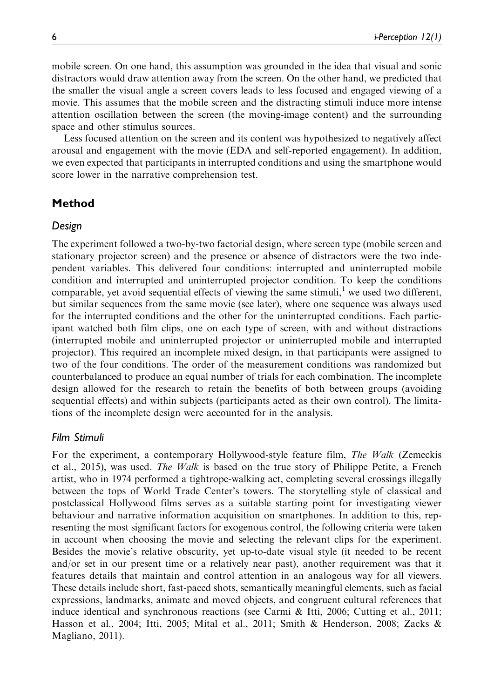mobile screen. On one hand, this assumption was grounded in the idea that visual and sonic distractors would draw attention away from the screen. On the other hand, we predicted that the smaller the visual angle a screen covers leads to less focused and engaged viewing of a movie. This assumes that the mobile screen and the distracting stimuli induce more intense attention oscillation between the screen (the moving-image content) and the surrounding space and other stimulus sources.

Less focused attention on the screen and its content was hypothesized to negatively affect arousal and engagement with the movie (EDA and self-reported engagement). In addition, we even expected that participants in interrupted conditions and using the smartphone would score lower in the narrative comprehension test.

# Method

## Design

The experiment followed a two-by-two factorial design, where screen type (mobile screen and stationary projector screen) and the presence or absence of distractors were the two independent variables. This delivered four conditions: interrupted and uninterrupted mobile condition and interrupted and uninterrupted projector condition. To keep the conditions comparable, yet avoid sequential effects of viewing the same stimuli, $\frac{1}{1}$  we used two different, but similar sequences from the same movie (see later), where one sequence was always used for the interrupted conditions and the other for the uninterrupted conditions. Each participant watched both film clips, one on each type of screen, with and without distractions (interrupted mobile and uninterrupted projector or uninterrupted mobile and interrupted projector). This required an incomplete mixed design, in that participants were assigned to two of the four conditions. The order of the measurement conditions was randomized but counterbalanced to produce an equal number of trials for each combination. The incomplete design allowed for the research to retain the benefits of both between groups (avoiding sequential effects) and within subjects (participants acted as their own control). The limitations of the incomplete design were accounted for in the analysis.

## Film Stimuli

For the experiment, a contemporary Hollywood-style feature film, The Walk (Zemeckis et al., 2015), was used. The Walk is based on the true story of Philippe Petite, a French artist, who in 1974 performed a tightrope-walking act, completing several crossings illegally between the tops of World Trade Center's towers. The storytelling style of classical and postclassical Hollywood films serves as a suitable starting point for investigating viewer behaviour and narrative information acquisition on smartphones. In addition to this, representing the most significant factors for exogenous control, the following criteria were taken in account when choosing the movie and selecting the relevant clips for the experiment. Besides the movie's relative obscurity, yet up-to-date visual style (it needed to be recent and/or set in our present time or a relatively near past), another requirement was that it features details that maintain and control attention in an analogous way for all viewers. These details include short, fast-paced shots, semantically meaningful elements, such as facial expressions, landmarks, animate and moved objects, and congruent cultural references that induce identical and synchronous reactions (see Carmi & Itti, 2006; Cutting et al., 2011; Hasson et al., 2004; Itti, 2005; Mital et al., 2011; Smith & Henderson, 2008; Zacks & Magliano, 2011).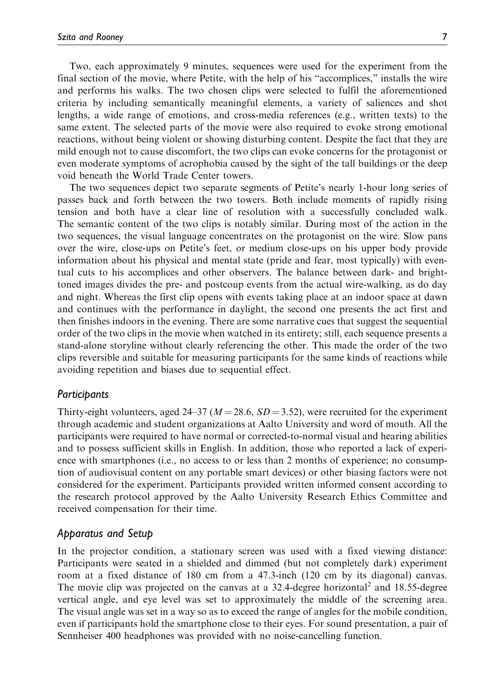Two, each approximately 9 minutes, sequences were used for the experiment from the final section of the movie, where Petite, with the help of his "accomplices," installs the wire and performs his walks. The two chosen clips were selected to fulfil the aforementioned criteria by including semantically meaningful elements, a variety of saliences and shot lengths, a wide range of emotions, and cross-media references (e.g., written texts) to the same extent. The selected parts of the movie were also required to evoke strong emotional reactions, without being violent or showing disturbing content. Despite the fact that they are mild enough not to cause discomfort, the two clips can evoke concerns for the protagonist or even moderate symptoms of acrophobia caused by the sight of the tall buildings or the deep void beneath the World Trade Center towers.

The two sequences depict two separate segments of Petite's nearly 1-hour long series of passes back and forth between the two towers. Both include moments of rapidly rising tension and both have a clear line of resolution with a successfully concluded walk. The semantic content of the two clips is notably similar. During most of the action in the two sequences, the visual language concentrates on the protagonist on the wire. Slow pans over the wire, close-ups on Petite's feet, or medium close-ups on his upper body provide information about his physical and mental state (pride and fear, most typically) with eventual cuts to his accomplices and other observers. The balance between dark- and brighttoned images divides the pre- and postcoup events from the actual wire-walking, as do day and night. Whereas the first clip opens with events taking place at an indoor space at dawn and continues with the performance in daylight, the second one presents the act first and then finishes indoors in the evening. There are some narrative cues that suggest the sequential order of the two clips in the movie when watched in its entirety; still, each sequence presents a stand-alone storyline without clearly referencing the other. This made the order of the two clips reversible and suitable for measuring participants for the same kinds of reactions while avoiding repetition and biases due to sequential effect.

## Participants

Thirty-eight volunteers, aged 24–37 ( $M = 28.6$ ,  $SD = 3.52$ ), were recruited for the experiment through academic and student organizations at Aalto University and word of mouth. All the participants were required to have normal or corrected-to-normal visual and hearing abilities and to possess sufficient skills in English. In addition, those who reported a lack of experience with smartphones (i.e., no access to or less than 2 months of experience; no consumption of audiovisual content on any portable smart devices) or other biasing factors were not considered for the experiment. Participants provided written informed consent according to the research protocol approved by the Aalto University Research Ethics Committee and received compensation for their time.

## Apparatus and Setup

In the projector condition, a stationary screen was used with a fixed viewing distance: Participants were seated in a shielded and dimmed (but not completely dark) experiment room at a fixed distance of 180 cm from a 47.3-inch (120 cm by its diagonal) canvas. The movie clip was projected on the canvas at a  $32.4$ -degree horizontal<sup>2</sup> and  $18.55$ -degree vertical angle, and eye level was set to approximately the middle of the screening area. The visual angle was set in a way so as to exceed the range of angles for the mobile condition, even if participants hold the smartphone close to their eyes. For sound presentation, a pair of Sennheiser 400 headphones was provided with no noise-cancelling function.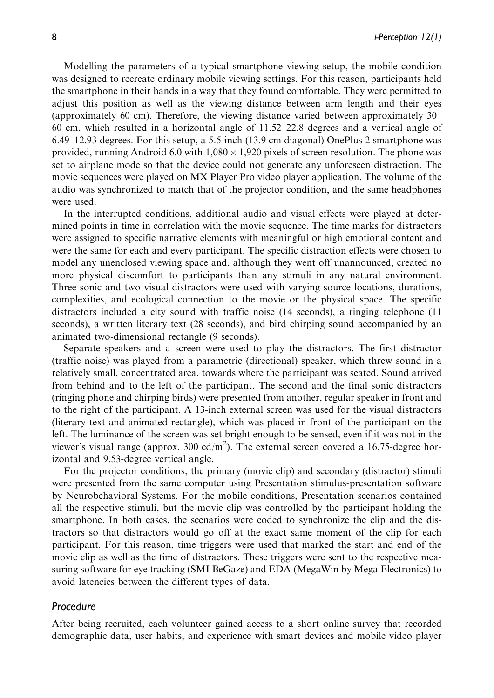Modelling the parameters of a typical smartphone viewing setup, the mobile condition was designed to recreate ordinary mobile viewing settings. For this reason, participants held the smartphone in their hands in a way that they found comfortable. They were permitted to adjust this position as well as the viewing distance between arm length and their eyes (approximately 60 cm). Therefore, the viewing distance varied between approximately 30– 60 cm, which resulted in a horizontal angle of 11.52–22.8 degrees and a vertical angle of 6.49–12.93 degrees. For this setup, a 5.5-inch (13.9 cm diagonal) OnePlus 2 smartphone was provided, running Android 6.0 with  $1,080 \times 1,920$  pixels of screen resolution. The phone was set to airplane mode so that the device could not generate any unforeseen distraction. The movie sequences were played on MX Player Pro video player application. The volume of the audio was synchronized to match that of the projector condition, and the same headphones were used.

In the interrupted conditions, additional audio and visual effects were played at determined points in time in correlation with the movie sequence. The time marks for distractors were assigned to specific narrative elements with meaningful or high emotional content and were the same for each and every participant. The specific distraction effects were chosen to model any unenclosed viewing space and, although they went off unannounced, created no more physical discomfort to participants than any stimuli in any natural environment. Three sonic and two visual distractors were used with varying source locations, durations, complexities, and ecological connection to the movie or the physical space. The specific distractors included a city sound with traffic noise (14 seconds), a ringing telephone (11 seconds), a written literary text (28 seconds), and bird chirping sound accompanied by an animated two-dimensional rectangle (9 seconds).

Separate speakers and a screen were used to play the distractors. The first distractor (traffic noise) was played from a parametric (directional) speaker, which threw sound in a relatively small, concentrated area, towards where the participant was seated. Sound arrived from behind and to the left of the participant. The second and the final sonic distractors (ringing phone and chirping birds) were presented from another, regular speaker in front and to the right of the participant. A 13-inch external screen was used for the visual distractors (literary text and animated rectangle), which was placed in front of the participant on the left. The luminance of the screen was set bright enough to be sensed, even if it was not in the viewer's visual range (approx. 300 cd/m<sup>2</sup>). The external screen covered a 16.75-degree horizontal and 9.53-degree vertical angle.

For the projector conditions, the primary (movie clip) and secondary (distractor) stimuli were presented from the same computer using Presentation stimulus-presentation software by Neurobehavioral Systems. For the mobile conditions, Presentation scenarios contained all the respective stimuli, but the movie clip was controlled by the participant holding the smartphone. In both cases, the scenarios were coded to synchronize the clip and the distractors so that distractors would go off at the exact same moment of the clip for each participant. For this reason, time triggers were used that marked the start and end of the movie clip as well as the time of distractors. These triggers were sent to the respective measuring software for eye tracking (SMI BeGaze) and EDA (MegaWin by Mega Electronics) to avoid latencies between the different types of data.

## Procedure

After being recruited, each volunteer gained access to a short online survey that recorded demographic data, user habits, and experience with smart devices and mobile video player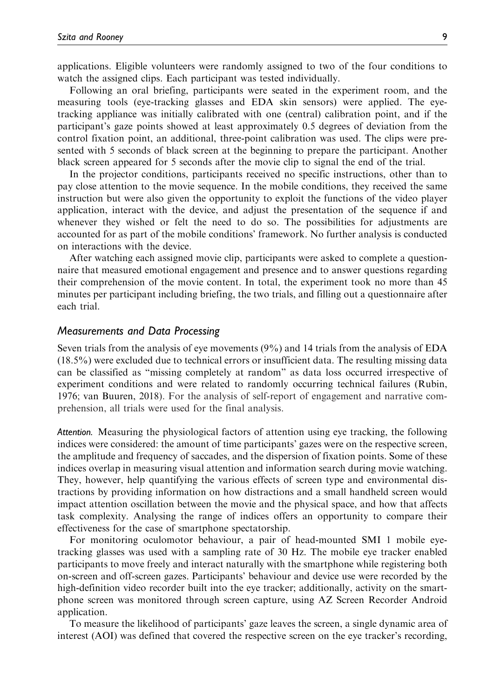applications. Eligible volunteers were randomly assigned to two of the four conditions to watch the assigned clips. Each participant was tested individually.

Following an oral briefing, participants were seated in the experiment room, and the measuring tools (eye-tracking glasses and EDA skin sensors) were applied. The eyetracking appliance was initially calibrated with one (central) calibration point, and if the participant's gaze points showed at least approximately 0.5 degrees of deviation from the control fixation point, an additional, three-point calibration was used. The clips were presented with 5 seconds of black screen at the beginning to prepare the participant. Another black screen appeared for 5 seconds after the movie clip to signal the end of the trial.

In the projector conditions, participants received no specific instructions, other than to pay close attention to the movie sequence. In the mobile conditions, they received the same instruction but were also given the opportunity to exploit the functions of the video player application, interact with the device, and adjust the presentation of the sequence if and whenever they wished or felt the need to do so. The possibilities for adjustments are accounted for as part of the mobile conditions' framework. No further analysis is conducted on interactions with the device.

After watching each assigned movie clip, participants were asked to complete a questionnaire that measured emotional engagement and presence and to answer questions regarding their comprehension of the movie content. In total, the experiment took no more than 45 minutes per participant including briefing, the two trials, and filling out a questionnaire after each trial.

## Measurements and Data Processing

Seven trials from the analysis of eye movements (9%) and 14 trials from the analysis of EDA (18.5%) were excluded due to technical errors or insufficient data. The resulting missing data can be classified as "missing completely at random" as data loss occurred irrespective of experiment conditions and were related to randomly occurring technical failures (Rubin, 1976; van Buuren, 2018). For the analysis of self-report of engagement and narrative comprehension, all trials were used for the final analysis.

Attention. Measuring the physiological factors of attention using eye tracking, the following indices were considered: the amount of time participants' gazes were on the respective screen, the amplitude and frequency of saccades, and the dispersion of fixation points. Some of these indices overlap in measuring visual attention and information search during movie watching. They, however, help quantifying the various effects of screen type and environmental distractions by providing information on how distractions and a small handheld screen would impact attention oscillation between the movie and the physical space, and how that affects task complexity. Analysing the range of indices offers an opportunity to compare their effectiveness for the case of smartphone spectatorship.

For monitoring oculomotor behaviour, a pair of head-mounted SMI 1 mobile eyetracking glasses was used with a sampling rate of 30 Hz. The mobile eye tracker enabled participants to move freely and interact naturally with the smartphone while registering both on-screen and off-screen gazes. Participants' behaviour and device use were recorded by the high-definition video recorder built into the eye tracker; additionally, activity on the smartphone screen was monitored through screen capture, using AZ Screen Recorder Android application.

To measure the likelihood of participants' gaze leaves the screen, a single dynamic area of interest (AOI) was defined that covered the respective screen on the eye tracker's recording,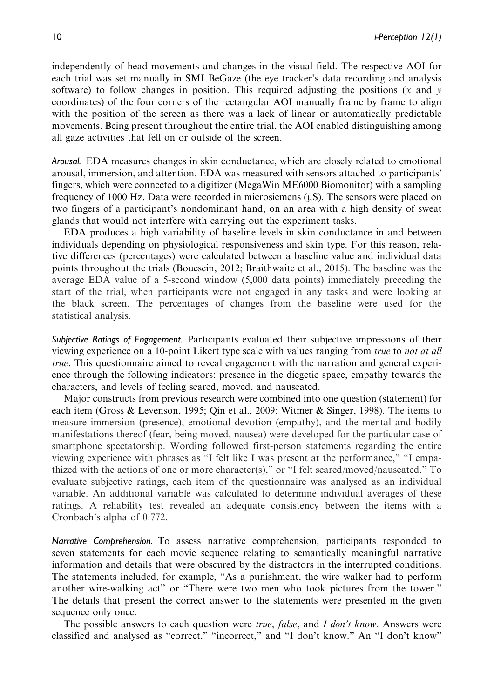independently of head movements and changes in the visual field. The respective AOI for each trial was set manually in SMI BeGaze (the eye tracker's data recording and analysis software) to follow changes in position. This required adjusting the positions  $(x \text{ and } y)$ coordinates) of the four corners of the rectangular AOI manually frame by frame to align with the position of the screen as there was a lack of linear or automatically predictable movements. Being present throughout the entire trial, the AOI enabled distinguishing among all gaze activities that fell on or outside of the screen.

Arousal. EDA measures changes in skin conductance, which are closely related to emotional arousal, immersion, and attention. EDA was measured with sensors attached to participants' fingers, which were connected to a digitizer (MegaWin ME6000 Biomonitor) with a sampling frequency of 1000 Hz. Data were recorded in microsiemens  $(\mu S)$ . The sensors were placed on two fingers of a participant's nondominant hand, on an area with a high density of sweat glands that would not interfere with carrying out the experiment tasks.

EDA produces a high variability of baseline levels in skin conductance in and between individuals depending on physiological responsiveness and skin type. For this reason, relative differences (percentages) were calculated between a baseline value and individual data points throughout the trials (Boucsein, 2012; Braithwaite et al., 2015). The baseline was the average EDA value of a 5-second window (5,000 data points) immediately preceding the start of the trial, when participants were not engaged in any tasks and were looking at the black screen. The percentages of changes from the baseline were used for the statistical analysis.

Subjective Ratings of Engagement. Participants evaluated their subjective impressions of their viewing experience on a 10-point Likert type scale with values ranging from true to not at all true. This questionnaire aimed to reveal engagement with the narration and general experience through the following indicators: presence in the diegetic space, empathy towards the characters, and levels of feeling scared, moved, and nauseated.

Major constructs from previous research were combined into one question (statement) for each item (Gross & Levenson, 1995; Qin et al., 2009; Witmer & Singer, 1998). The items to measure immersion (presence), emotional devotion (empathy), and the mental and bodily manifestations thereof (fear, being moved, nausea) were developed for the particular case of smartphone spectatorship. Wording followed first-person statements regarding the entire viewing experience with phrases as "I felt like I was present at the performance," "I empathized with the actions of one or more character(s)," or "I felt scared/moved/nauseated." To evaluate subjective ratings, each item of the questionnaire was analysed as an individual variable. An additional variable was calculated to determine individual averages of these ratings. A reliability test revealed an adequate consistency between the items with a Cronbach's alpha of 0.772.

Narrative Comprehension. To assess narrative comprehension, participants responded to seven statements for each movie sequence relating to semantically meaningful narrative information and details that were obscured by the distractors in the interrupted conditions. The statements included, for example, "As a punishment, the wire walker had to perform another wire-walking act" or "There were two men who took pictures from the tower." The details that present the correct answer to the statements were presented in the given sequence only once.

The possible answers to each question were *true*, *false*, and *I don't know*. Answers were classified and analysed as "correct," "incorrect," and "I don't know." An "I don't know"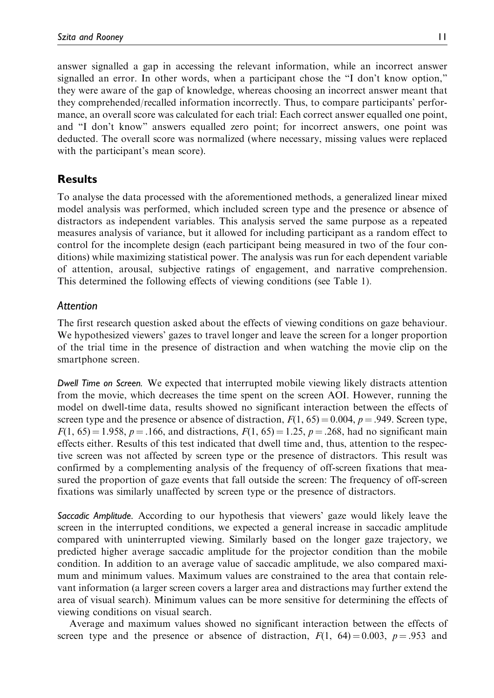answer signalled a gap in accessing the relevant information, while an incorrect answer signalled an error. In other words, when a participant chose the "I don't know option," they were aware of the gap of knowledge, whereas choosing an incorrect answer meant that they comprehended/recalled information incorrectly. Thus, to compare participants' performance, an overall score was calculated for each trial: Each correct answer equalled one point, and "I don't know" answers equalled zero point; for incorrect answers, one point was deducted. The overall score was normalized (where necessary, missing values were replaced with the participant's mean score).

# Results

To analyse the data processed with the aforementioned methods, a generalized linear mixed model analysis was performed, which included screen type and the presence or absence of distractors as independent variables. This analysis served the same purpose as a repeated measures analysis of variance, but it allowed for including participant as a random effect to control for the incomplete design (each participant being measured in two of the four conditions) while maximizing statistical power. The analysis was run for each dependent variable of attention, arousal, subjective ratings of engagement, and narrative comprehension. This determined the following effects of viewing conditions (see Table 1).

# Attention

The first research question asked about the effects of viewing conditions on gaze behaviour. We hypothesized viewers' gazes to travel longer and leave the screen for a longer proportion of the trial time in the presence of distraction and when watching the movie clip on the smartphone screen.

Dwell Time on Screen. We expected that interrupted mobile viewing likely distracts attention from the movie, which decreases the time spent on the screen AOI. However, running the model on dwell-time data, results showed no significant interaction between the effects of screen type and the presence or absence of distraction,  $F(1, 65) = 0.004$ ,  $p = .949$ . Screen type,  $F(1, 65) = 1.958$ ,  $p = .166$ , and distractions,  $F(1, 65) = 1.25$ ,  $p = .268$ , had no significant main effects either. Results of this test indicated that dwell time and, thus, attention to the respective screen was not affected by screen type or the presence of distractors. This result was confirmed by a complementing analysis of the frequency of off-screen fixations that measured the proportion of gaze events that fall outside the screen: The frequency of off-screen fixations was similarly unaffected by screen type or the presence of distractors.

Saccadic Amplitude. According to our hypothesis that viewers' gaze would likely leave the screen in the interrupted conditions, we expected a general increase in saccadic amplitude compared with uninterrupted viewing. Similarly based on the longer gaze trajectory, we predicted higher average saccadic amplitude for the projector condition than the mobile condition. In addition to an average value of saccadic amplitude, we also compared maximum and minimum values. Maximum values are constrained to the area that contain relevant information (a larger screen covers a larger area and distractions may further extend the area of visual search). Minimum values can be more sensitive for determining the effects of viewing conditions on visual search.

Average and maximum values showed no significant interaction between the effects of screen type and the presence or absence of distraction,  $F(1, 64) = 0.003$ ,  $p = .953$  and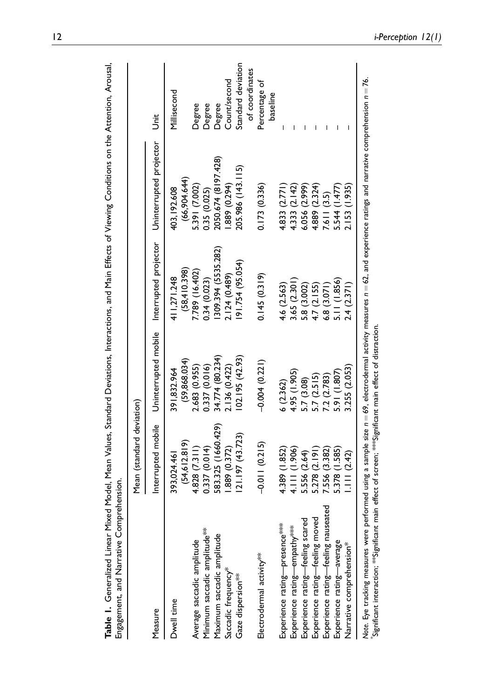|                                     | Mean (standard deviation)   |                             |                              |                              |                           |
|-------------------------------------|-----------------------------|-----------------------------|------------------------------|------------------------------|---------------------------|
| Measure                             | Interrupted mobile          | Uninterrupted mobile        | Interrupted projector        | Uninterrupted projector      | j<br>Jit                  |
| Dwell time                          | (54, 612.819)<br>393,024.46 | (59,868.034)<br>391.832.964 | (58, 410.398)<br>411.271.248 | (66,904.644)<br>403, 192.608 | Millisecond               |
| Average saccadic amplitude          | 4.828(7.311)                | 2.683 (0.955)               | 7.789 (16.402)               | 5.391 (7.002)                | Degree                    |
| Minimum saccadic amplitude***       | 0.337 (0.014)               | 0.337 (0.016)               | 0.34 (0.023)                 | 0.35 (0.025)                 | Degree                    |
| Maximum saccadic amplitude          | 583.325 (1660.429)          | 34.774 (80.234)             | 309.394 (5535.282)           | 2050.674 (8197.428)          | Degree                    |
| Saccadic frequency*                 | .889 (0.372)                | 2.136 (0.422)               | 2.124 (0.489)                | 1.889(0.294)                 | Count/second              |
| Gaze dispersion***                  | (21.197(43.723))            | (62.195(42.93))             | (91.754 (95.054)             | 205.986 (143.115)            | Standard deviation        |
|                                     |                             |                             |                              |                              | of coordinates            |
| Electrodermal activity**            | $-0.011(0.215)$             | $-0.004(0.221)$             | 0.145(0.319)                 | 0.173(0.336)                 | Percentage of<br>baseline |
| Experience rating-presence****      | 4.389 (1.852)               | 6(2.362)                    | 4.6 (2.563)                  | 4.833(2.771)                 |                           |
| Experience rating-empathy***        | 4.111 (1.906)               | 4.95 (1.905)                | 3.65(2.301)                  | 4.333 (2.142)                |                           |
| Experience rating-feeling scared    | 5.556 (2.64)                | 5.7 (3.08)                  | 5.8 (3.002)                  | 6.056(2.999)                 |                           |
| Experience rating-feeling moved     | 5.278 (2.191)               | 5.7(2.515)                  | 4.7 (2.155)                  | 4.889 (2.324)                |                           |
| Experience rating-feeling nauseated | 7.556 (3.382)               | 7.2 (2.783)                 | 6.8(3.071)                   | 7.611 (3.5)                  |                           |
| Experience rating-average           | 5.378 (1.585)               | 5.91 (1.807)                | 5.11 (1.856)                 | 5.544 (1.477)                |                           |
| Narrative comprehension*            | 1.11(2.42)                  | 3.255 (2.053)               | 2.4(2.371)                   | 2.153 (1.935)                |                           |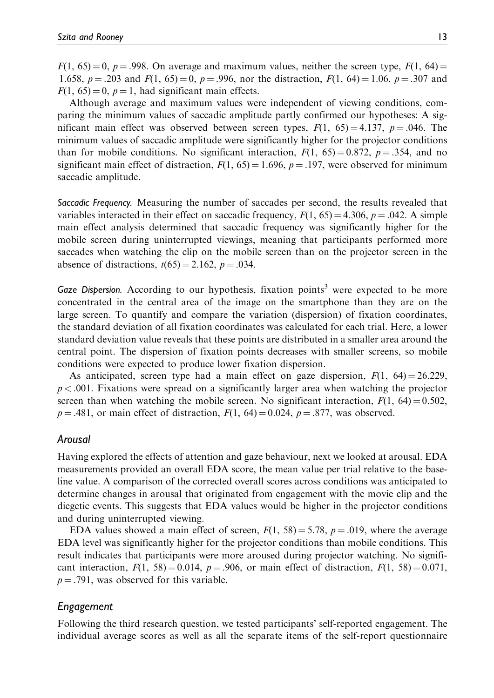$F(1, 65) = 0$ ,  $p = .998$ . On average and maximum values, neither the screen type,  $F(1, 64) =$ 1.658,  $p = .203$  and  $F(1, 65) = 0$ ,  $p = .996$ , nor the distraction,  $F(1, 64) = 1.06$ ,  $p = .307$  and  $F(1, 65) = 0$ ,  $p = 1$ , had significant main effects.

Although average and maximum values were independent of viewing conditions, comparing the minimum values of saccadic amplitude partly confirmed our hypotheses: A significant main effect was observed between screen types,  $F(1, 65) = 4.137$ ,  $p = .046$ . The minimum values of saccadic amplitude were significantly higher for the projector conditions than for mobile conditions. No significant interaction,  $F(1, 65) = 0.872$ ,  $p = .354$ , and no significant main effect of distraction,  $F(1, 65) = 1.696$ ,  $p = .197$ , were observed for minimum saccadic amplitude.

Saccadic Frequency. Measuring the number of saccades per second, the results revealed that variables interacted in their effect on saccadic frequency,  $F(1, 65) = 4.306$ ,  $p = .042$ . A simple main effect analysis determined that saccadic frequency was significantly higher for the mobile screen during uninterrupted viewings, meaning that participants performed more saccades when watching the clip on the mobile screen than on the projector screen in the absence of distractions,  $t(65) = 2.162$ ,  $p = .034$ .

Gaze Dispersion. According to our hypothesis, fixation points<sup>3</sup> were expected to be more concentrated in the central area of the image on the smartphone than they are on the large screen. To quantify and compare the variation (dispersion) of fixation coordinates, the standard deviation of all fixation coordinates was calculated for each trial. Here, a lower standard deviation value reveals that these points are distributed in a smaller area around the central point. The dispersion of fixation points decreases with smaller screens, so mobile conditions were expected to produce lower fixation dispersion.

As anticipated, screen type had a main effect on gaze dispersion,  $F(1, 64) = 26.229$ ,  $p < .001$ . Fixations were spread on a significantly larger area when watching the projector screen than when watching the mobile screen. No significant interaction,  $F(1, 64) = 0.502$ ,  $p = .481$ , or main effect of distraction,  $F(1, 64) = 0.024$ ,  $p = .877$ , was observed.

# Arousal

Having explored the effects of attention and gaze behaviour, next we looked at arousal. EDA measurements provided an overall EDA score, the mean value per trial relative to the baseline value. A comparison of the corrected overall scores across conditions was anticipated to determine changes in arousal that originated from engagement with the movie clip and the diegetic events. This suggests that EDA values would be higher in the projector conditions and during uninterrupted viewing.

EDA values showed a main effect of screen,  $F(1, 58) = 5.78$ ,  $p = .019$ , where the average EDA level was significantly higher for the projector conditions than mobile conditions. This result indicates that participants were more aroused during projector watching. No significant interaction,  $F(1, 58) = 0.014$ ,  $p = .906$ , or main effect of distraction,  $F(1, 58) = 0.071$ ,  $p = .791$ , was observed for this variable.

# Engagement

Following the third research question, we tested participants' self-reported engagement. The individual average scores as well as all the separate items of the self-report questionnaire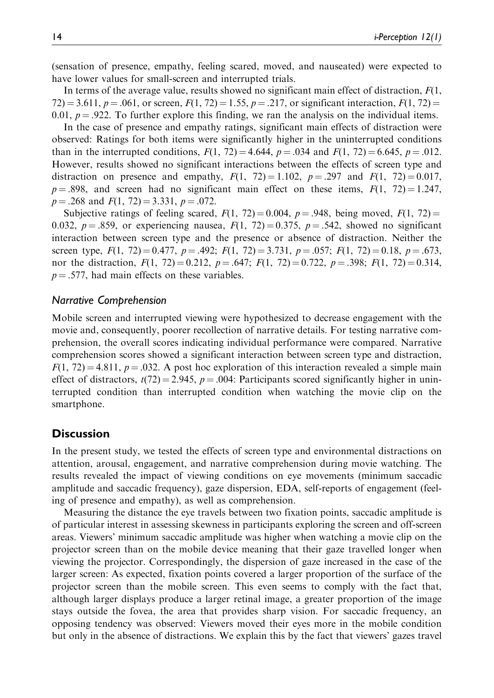(sensation of presence, empathy, feeling scared, moved, and nauseated) were expected to have lower values for small-screen and interrupted trials.

In terms of the average value, results showed no significant main effect of distraction,  $F(1)$ , 72) = 3.611,  $p = .061$ , or screen,  $F(1, 72) = 1.55$ ,  $p = .217$ , or significant interaction,  $F(1, 72) =$ 0.01,  $p = 0.922$ . To further explore this finding, we ran the analysis on the individual items.

In the case of presence and empathy ratings, significant main effects of distraction were observed: Ratings for both items were significantly higher in the uninterrupted conditions than in the interrupted conditions,  $F(1, 72) = 4.644$ ,  $p = .034$  and  $F(1, 72) = 6.645$ ,  $p = .012$ . However, results showed no significant interactions between the effects of screen type and distraction on presence and empathy,  $F(1, 72) = 1.102$ ,  $p = .297$  and  $F(1, 72) = 0.017$ ,  $p = .898$ , and screen had no significant main effect on these items,  $F(1, 72) = 1.247$ ,  $p = .268$  and  $F(1, 72) = 3.331, p = .072$ .

Subjective ratings of feeling scared,  $F(1, 72) = 0.004$ ,  $p = .948$ , being moved,  $F(1, 72) =$ 0.032,  $p = .859$ , or experiencing nausea,  $F(1, 72) = 0.375$ ,  $p = .542$ , showed no significant interaction between screen type and the presence or absence of distraction. Neither the screen type,  $F(1, 72) = 0.477$ ,  $p = .492$ ;  $F(1, 72) = 3.731$ ,  $p = .057$ ;  $F(1, 72) = 0.18$ ,  $p = .673$ , nor the distraction,  $F(1, 72) = 0.212$ ,  $p = .647$ ;  $F(1, 72) = 0.722$ ,  $p = .398$ ;  $F(1, 72) = 0.314$ ,  $p = .577$ , had main effects on these variables.

## Narrative Comprehension

Mobile screen and interrupted viewing were hypothesized to decrease engagement with the movie and, consequently, poorer recollection of narrative details. For testing narrative comprehension, the overall scores indicating individual performance were compared. Narrative comprehension scores showed a significant interaction between screen type and distraction,  $F(1, 72) = 4.811$ ,  $p = .032$ . A post hoc exploration of this interaction revealed a simple main effect of distractors,  $t(72) = 2.945$ ,  $p = .004$ : Participants scored significantly higher in uninterrupted condition than interrupted condition when watching the movie clip on the smartphone.

## **Discussion**

In the present study, we tested the effects of screen type and environmental distractions on attention, arousal, engagement, and narrative comprehension during movie watching. The results revealed the impact of viewing conditions on eye movements (minimum saccadic amplitude and saccadic frequency), gaze dispersion, EDA, self-reports of engagement (feeling of presence and empathy), as well as comprehension.

Measuring the distance the eye travels between two fixation points, saccadic amplitude is of particular interest in assessing skewness in participants exploring the screen and off-screen areas. Viewers' minimum saccadic amplitude was higher when watching a movie clip on the projector screen than on the mobile device meaning that their gaze travelled longer when viewing the projector. Correspondingly, the dispersion of gaze increased in the case of the larger screen: As expected, fixation points covered a larger proportion of the surface of the projector screen than the mobile screen. This even seems to comply with the fact that, although larger displays produce a larger retinal image, a greater proportion of the image stays outside the fovea, the area that provides sharp vision. For saccadic frequency, an opposing tendency was observed: Viewers moved their eyes more in the mobile condition but only in the absence of distractions. We explain this by the fact that viewers' gazes travel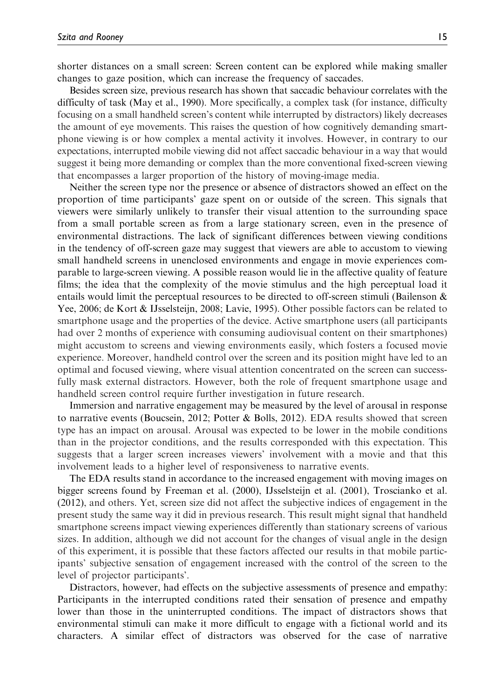shorter distances on a small screen: Screen content can be explored while making smaller changes to gaze position, which can increase the frequency of saccades.

Besides screen size, previous research has shown that saccadic behaviour correlates with the difficulty of task (May et al., 1990). More specifically, a complex task (for instance, difficulty focusing on a small handheld screen's content while interrupted by distractors) likely decreases the amount of eye movements. This raises the question of how cognitively demanding smartphone viewing is or how complex a mental activity it involves. However, in contrary to our expectations, interrupted mobile viewing did not affect saccadic behaviour in a way that would suggest it being more demanding or complex than the more conventional fixed-screen viewing that encompasses a larger proportion of the history of moving-image media.

Neither the screen type nor the presence or absence of distractors showed an effect on the proportion of time participants' gaze spent on or outside of the screen. This signals that viewers were similarly unlikely to transfer their visual attention to the surrounding space from a small portable screen as from a large stationary screen, even in the presence of environmental distractions. The lack of significant differences between viewing conditions in the tendency of off-screen gaze may suggest that viewers are able to accustom to viewing small handheld screens in unenclosed environments and engage in movie experiences comparable to large-screen viewing. A possible reason would lie in the affective quality of feature films; the idea that the complexity of the movie stimulus and the high perceptual load it entails would limit the perceptual resources to be directed to off-screen stimuli (Bailenson  $\&$ Yee, 2006; de Kort & IJsselsteijn, 2008; Lavie, 1995). Other possible factors can be related to smartphone usage and the properties of the device. Active smartphone users (all participants had over 2 months of experience with consuming audiovisual content on their smartphones) might accustom to screens and viewing environments easily, which fosters a focused movie experience. Moreover, handheld control over the screen and its position might have led to an optimal and focused viewing, where visual attention concentrated on the screen can successfully mask external distractors. However, both the role of frequent smartphone usage and handheld screen control require further investigation in future research.

Immersion and narrative engagement may be measured by the level of arousal in response to narrative events (Boucsein, 2012; Potter & Bolls, 2012). EDA results showed that screen type has an impact on arousal. Arousal was expected to be lower in the mobile conditions than in the projector conditions, and the results corresponded with this expectation. This suggests that a larger screen increases viewers' involvement with a movie and that this involvement leads to a higher level of responsiveness to narrative events.

The EDA results stand in accordance to the increased engagement with moving images on bigger screens found by Freeman et al. (2000), IJsselsteijn et al. (2001), Troscianko et al. (2012), and others. Yet, screen size did not affect the subjective indices of engagement in the present study the same way it did in previous research. This result might signal that handheld smartphone screens impact viewing experiences differently than stationary screens of various sizes. In addition, although we did not account for the changes of visual angle in the design of this experiment, it is possible that these factors affected our results in that mobile participants' subjective sensation of engagement increased with the control of the screen to the level of projector participants'.

Distractors, however, had effects on the subjective assessments of presence and empathy: Participants in the interrupted conditions rated their sensation of presence and empathy lower than those in the uninterrupted conditions. The impact of distractors shows that environmental stimuli can make it more difficult to engage with a fictional world and its characters. A similar effect of distractors was observed for the case of narrative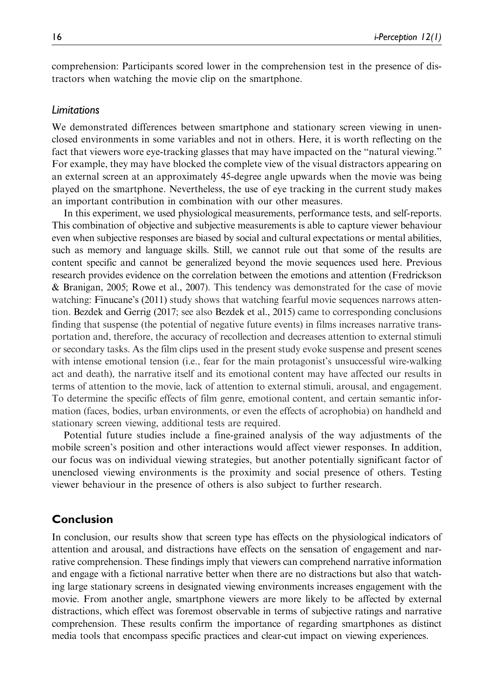comprehension: Participants scored lower in the comprehension test in the presence of distractors when watching the movie clip on the smartphone.

## Limitations

We demonstrated differences between smartphone and stationary screen viewing in unenclosed environments in some variables and not in others. Here, it is worth reflecting on the fact that viewers wore eye-tracking glasses that may have impacted on the "natural viewing." For example, they may have blocked the complete view of the visual distractors appearing on an external screen at an approximately 45-degree angle upwards when the movie was being played on the smartphone. Nevertheless, the use of eye tracking in the current study makes an important contribution in combination with our other measures.

In this experiment, we used physiological measurements, performance tests, and self-reports. This combination of objective and subjective measurements is able to capture viewer behaviour even when subjective responses are biased by social and cultural expectations or mental abilities, such as memory and language skills. Still, we cannot rule out that some of the results are content specific and cannot be generalized beyond the movie sequences used here. Previous research provides evidence on the correlation between the emotions and attention (Fredrickson & Branigan, 2005; Rowe et al., 2007). This tendency was demonstrated for the case of movie watching: Finucane's (2011) study shows that watching fearful movie sequences narrows attention. Bezdek and Gerrig (2017; see also Bezdek et al., 2015) came to corresponding conclusions finding that suspense (the potential of negative future events) in films increases narrative transportation and, therefore, the accuracy of recollection and decreases attention to external stimuli or secondary tasks. As the film clips used in the present study evoke suspense and present scenes with intense emotional tension (i.e., fear for the main protagonist's unsuccessful wire-walking act and death), the narrative itself and its emotional content may have affected our results in terms of attention to the movie, lack of attention to external stimuli, arousal, and engagement. To determine the specific effects of film genre, emotional content, and certain semantic information (faces, bodies, urban environments, or even the effects of acrophobia) on handheld and stationary screen viewing, additional tests are required.

Potential future studies include a fine-grained analysis of the way adjustments of the mobile screen's position and other interactions would affect viewer responses. In addition, our focus was on individual viewing strategies, but another potentially significant factor of unenclosed viewing environments is the proximity and social presence of others. Testing viewer behaviour in the presence of others is also subject to further research.

# Conclusion

In conclusion, our results show that screen type has effects on the physiological indicators of attention and arousal, and distractions have effects on the sensation of engagement and narrative comprehension. These findings imply that viewers can comprehend narrative information and engage with a fictional narrative better when there are no distractions but also that watching large stationary screens in designated viewing environments increases engagement with the movie. From another angle, smartphone viewers are more likely to be affected by external distractions, which effect was foremost observable in terms of subjective ratings and narrative comprehension. These results confirm the importance of regarding smartphones as distinct media tools that encompass specific practices and clear-cut impact on viewing experiences.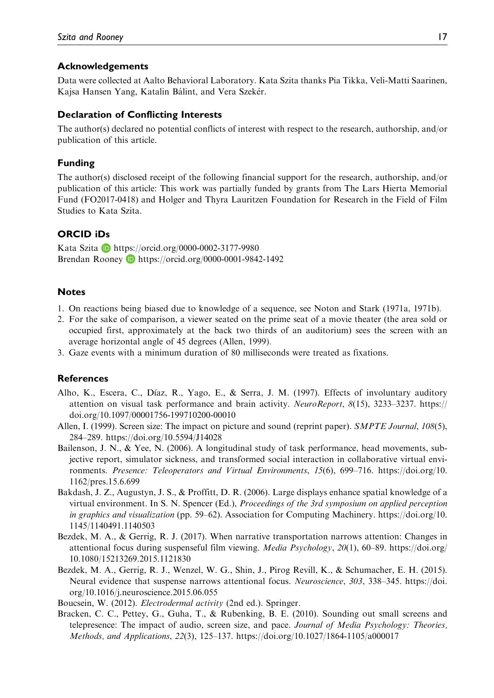## Acknowledgements

Data were collected at Aalto Behavioral Laboratory. Kata Szita thanks Pia Tikka, Veli-Matti Saarinen, Kajsa Hansen Yang, Katalin Bálint, and Vera Szekér.

## Declaration of Conflicting Interests

The author(s) declared no potential conflicts of interest with respect to the research, authorship, and/or publication of this article.

## Funding

The author(s) disclosed receipt of the following financial support for the research, authorship, and/or publication of this article: This work was partially funded by grants from The Lars Hierta Memorial Fund (FO2017-0418) and Holger and Thyra Lauritzen Foundation for Research in the Field of Film Studies to Kata Szita.

## ORCID iDs

Kata Szita **b** <https://orcid.org/0000-0002-3177-9980> Brendan Rooney D <https://orcid.org/0000-0001-9842-1492>

## **Notes**

- 1. On reactions being biased due to knowledge of a sequence, see Noton and Stark (1971a, 1971b).
- 2. For the sake of comparison, a viewer seated on the prime seat of a movie theater (the area sold or occupied first, approximately at the back two thirds of an auditorium) sees the screen with an average horizontal angle of 45 degrees (Allen, 1999).
- 3. Gaze events with a minimum duration of 80 milliseconds were treated as fixations.

## **References**

- Alho, K., Escera, C., Dıaz, R., Yago, E., & Serra, J. M. (1997). Effects of involuntary auditory attention on visual task performance and brain activity. NeuroReport, 8(15), 3233–3237. [https://](https://doi.org/10.1097/00001756-199710200-00010) [doi.org/10.1097/00001756-199710200-00010](https://doi.org/10.1097/00001756-199710200-00010)
- Allen, I. (1999). Screen size: The impact on picture and sound (reprint paper). SMPTE Journal, 108(5), 284–289.<https://doi.org/10.5594/J14028>
- Bailenson, J. N., & Yee, N. (2006). A longitudinal study of task performance, head movements, subjective report, simulator sickness, and transformed social interaction in collaborative virtual environments. Presence: Teleoperators and Virtual Environments, 15(6), 699–716. [https://doi.org/10.](https://doi.org/10.1162/pres.15.6.699) [1162/pres.15.6.699](https://doi.org/10.1162/pres.15.6.699)
- Bakdash, J. Z., Augustyn, J. S., & Proffitt, D. R. (2006). Large displays enhance spatial knowledge of a virtual environment. In S. N. Spencer (Ed.), Proceedings of the 3rd symposium on applied perception in graphics and visualization (pp. 59–62). Association for Computing Machinery. [https://doi.org/10.](https://doi.org/10.1145/1140491.1140503) [1145/1140491.1140503](https://doi.org/10.1145/1140491.1140503)
- Bezdek, M. A., & Gerrig, R. J. (2017). When narrative transportation narrows attention: Changes in attentional focus during suspenseful film viewing. Media Psychology, 20(1), 60–89. [https://doi.org/](https://doi.org/10.1080/15213269.2015.1121830) [10.1080/15213269.2015.1121830](https://doi.org/10.1080/15213269.2015.1121830)
- Bezdek, M. A., Gerrig, R. J., Wenzel, W. G., Shin, J., Pirog Revill, K., & Schumacher, E. H. (2015). Neural evidence that suspense narrows attentional focus. Neuroscience, 303, 338–345. [https://doi.](https://doi.org/10.1016/j.neuroscience.2015.06.055) [org/10.1016/j.neuroscience.2015.06.055](https://doi.org/10.1016/j.neuroscience.2015.06.055)

Boucsein, W. (2012). Electrodermal activity (2nd ed.). Springer.

Bracken, C. C., Pettey, G., Guha, T., & Rubenking, B. E. (2010). Sounding out small screens and telepresence: The impact of audio, screen size, and pace. Journal of Media Psychology: Theories, Methods, and Applications, 22(3), 125–137.<https://doi.org/10.1027/1864-1105/a000017>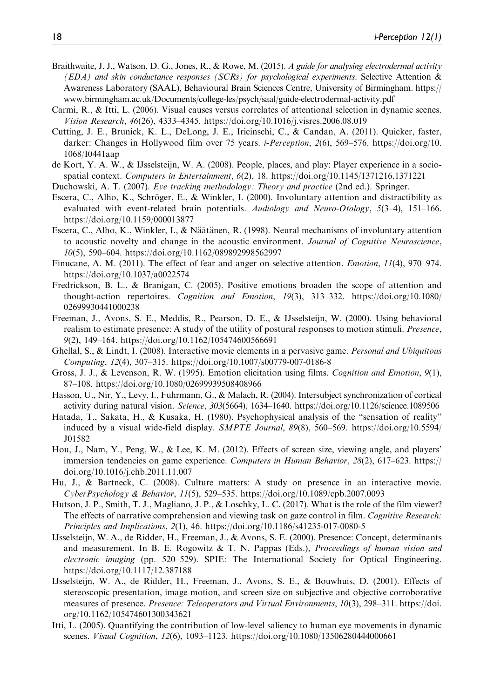- Braithwaite, J. J., Watson, D. G., Jones, R., & Rowe, M. (2015). A guide for analysing electrodermal activity  $(EDA)$  and skin conductance responses (SCRs) for psychological experiments. Selective Attention & Awareness Laboratory (SAAL), Behavioural Brain Sciences Centre, University of Birmingham. [https://](https://www.birmingham.ac.uk/Documents/college-les/psych/saal/guide-electrodermal-activity.pdf) [www.birmingham.ac.uk/Documents/college-les/psych/saal/guide-electrodermal-activity.pdf](https://www.birmingham.ac.uk/Documents/college-les/psych/saal/guide-electrodermal-activity.pdf)
- Carmi, R., & Itti, L. (2006). Visual causes versus correlates of attentional selection in dynamic scenes. Vision Research, 46(26), 4333–4345.<https://doi.org/10.1016/j.visres.2006.08.019>
- Cutting, J. E., Brunick, K. L., DeLong, J. E., Iricinschi, C., & Candan, A. (2011). Quicker, faster, darker: Changes in Hollywood film over 75 years. *i-Perception*, 2(6), 569–576. [https://doi.org/10.](https://doi.org/10.1068/I0441aap) [1068/I0441aap](https://doi.org/10.1068/I0441aap)
- de Kort, Y. A. W., & IJsselsteijn, W. A. (2008). People, places, and play: Player experience in a sociospatial context. Computers in Entertainment, 6(2), 18.<https://doi.org/10.1145/1371216.1371221>
- Duchowski, A. T. (2007). Eye tracking methodology: Theory and practice (2nd ed.). Springer.
- Escera, C., Alho, K., Schröger, E., & Winkler, I. (2000). Involuntary attention and distractibility as evaluated with event-related brain potentials. Audiology and Neuro-Otology,  $5(3-4)$ , 151–166. <https://doi.org/10.1159/000013877>
- Escera, C., Alho, K., Winkler, I., & Näätänen, R. (1998). Neural mechanisms of involuntary attention to acoustic novelty and change in the acoustic environment. Journal of Cognitive Neuroscience, 10(5), 590–604.<https://doi.org/10.1162/089892998562997>
- Finucane, A. M. (2011). The effect of fear and anger on selective attention. Emotion, 11(4), 970–974. <https://doi.org/10.1037/a0022574>
- Fredrickson, B. L., & Branigan, C. (2005). Positive emotions broaden the scope of attention and thought-action repertoires. Cognition and Emotion, 19(3), 313–332. [https://doi.org/10.1080/](https://doi.org/10.1080/02699930441000238) [02699930441000238](https://doi.org/10.1080/02699930441000238)
- Freeman, J., Avons, S. E., Meddis, R., Pearson, D. E., & IJsselsteijn, W. (2000). Using behavioral realism to estimate presence: A study of the utility of postural responses to motion stimuli. *Presence*, 9(2), 149–164.<https://doi.org/10.1162/105474600566691>
- Ghellal, S., & Lindt, I. (2008). Interactive movie elements in a pervasive game. *Personal and Ubiquitous* Computing, 12(4), 307–315.<https://doi.org/10.1007/s00779-007-0186-8>
- Gross, J. J., & Levenson, R. W. (1995). Emotion elicitation using films. Cognition and Emotion, 9(1), 87–108.<https://doi.org/10.1080/02699939508408966>
- Hasson, U., Nir, Y., Levy, I., Fuhrmann, G., & Malach, R. (2004). Intersubject synchronization of cortical activity during natural vision. Science, 303(5664), 1634–1640.<https://doi.org/10.1126/science.1089506>
- Hatada, T., Sakata, H., & Kusaka, H. (1980). Psychophysical analysis of the "sensation of reality" induced by a visual wide-field display. SMPTE Journal, 89(8), 560–569. [https://doi.org/10.5594/](https://doi.org/10.5594/J01582) [J01582](https://doi.org/10.5594/J01582)
- Hou, J., Nam, Y., Peng, W., & Lee, K. M. (2012). Effects of screen size, viewing angle, and players' immersion tendencies on game experience. Computers in Human Behavior, 28(2), 617–623. [https://](https://doi.org/10.1016/j.chb.2011.11.007) [doi.org/10.1016/j.chb.2011.11.007](https://doi.org/10.1016/j.chb.2011.11.007)
- Hu, J., & Bartneck, C. (2008). Culture matters: A study on presence in an interactive movie. CyberPsychology & Behavior, 11(5), 529–535.<https://doi.org/10.1089/cpb.2007.0093>
- Hutson, J. P., Smith, T. J., Magliano, J. P., & Loschky, L. C. (2017). What is the role of the film viewer? The effects of narrative comprehension and viewing task on gaze control in film. Cognitive Research: Principles and Implications, 2(1), 46.<https://doi.org/10.1186/s41235-017-0080-5>
- IJsselsteijn, W. A., de Ridder, H., Freeman, J., & Avons, S. E. (2000). Presence: Concept, determinants and measurement. In B. E. Rogowitz  $\&$  T. N. Pappas (Eds.), *Proceedings of human vision and* electronic imaging (pp. 520–529). SPIE: The International Society for Optical Engineering. <https://doi.org/10.1117/12.387188>
- IJsselsteijn, W. A., de Ridder, H., Freeman, J., Avons, S. E., & Bouwhuis, D. (2001). Effects of stereoscopic presentation, image motion, and screen size on subjective and objective corroborative measures of presence. Presence: Teleoperators and Virtual Environments, 10(3), 298–311. [https://doi.](https://doi.org/10.1162/105474601300343621) [org/10.1162/105474601300343621](https://doi.org/10.1162/105474601300343621)
- Itti, L. (2005). Quantifying the contribution of low-level saliency to human eye movements in dynamic scenes. Visual Cognition, 12(6), 1093–1123.<https://doi.org/10.1080/13506280444000661>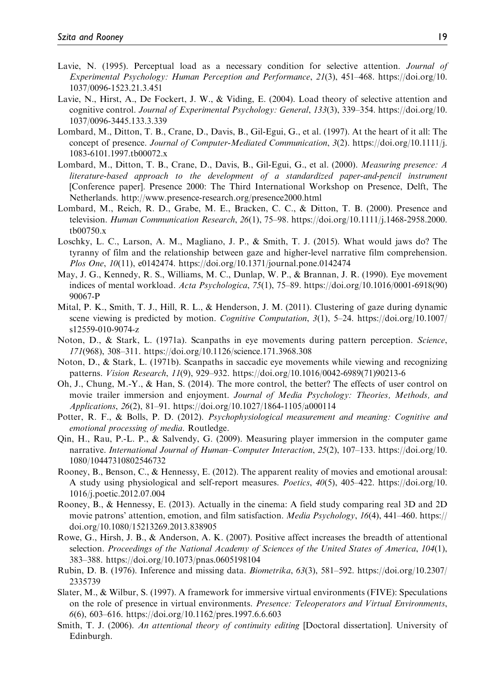- Lavie, N. (1995). Perceptual load as a necessary condition for selective attention. Journal of Experimental Psychology: Human Perception and Performance, 21(3), 451–468. [https://doi.org/10.](https://doi.org/10.1037/0096-1523.21.3.451) [1037/0096-1523.21.3.451](https://doi.org/10.1037/0096-1523.21.3.451)
- Lavie, N., Hirst, A., De Fockert, J. W., & Viding, E. (2004). Load theory of selective attention and cognitive control. Journal of Experimental Psychology: General, 133(3), 339–354. [https://doi.org/10.](https://doi.org/10.1037/0096-3445.133.3.339) [1037/0096-3445.133.3.339](https://doi.org/10.1037/0096-3445.133.3.339)
- Lombard, M., Ditton, T. B., Crane, D., Davis, B., Gil-Egui, G., et al. (1997). At the heart of it all: The concept of presence. Journal of Computer-Mediated Communication, 3(2). [https://doi.org/10.1111/j.](https://doi.org/10.1111/j.1083-6101.1997.tb00072.x) [1083-6101.1997.tb00072.x](https://doi.org/10.1111/j.1083-6101.1997.tb00072.x)
- Lombard, M., Ditton, T. B., Crane, D., Davis, B., Gil-Egui, G., et al. (2000). Measuring presence: A literature-based approach to the development of a standardized paper-and-pencil instrument [Conference paper]. Presence 2000: The Third International Workshop on Presence, Delft, The Netherlands.<http://www.presence-research.org/presence2000.html>
- Lombard, M., Reich, R. D., Grabe, M. E., Bracken, C. C., & Ditton, T. B. (2000). Presence and television. Human Communication Research, 26(1), 75–98. [https://doi.org/10.1111/j.1468-2958.2000.](https://doi.org/10.1111/j.1468-2958.2000.tb00750.x) [tb00750.x](https://doi.org/10.1111/j.1468-2958.2000.tb00750.x)
- Loschky, L. C., Larson, A. M., Magliano, J. P., & Smith, T. J. (2015). What would jaws do? The tyranny of film and the relationship between gaze and higher-level narrative film comprehension. Plos One, 10(11), e0142474.<https://doi.org/10.1371/journal.pone.0142474>
- May, J. G., Kennedy, R. S., Williams, M. C., Dunlap, W. P., & Brannan, J. R. (1990). Eye movement indices of mental workload. Acta Psychologica, 75(1), 75–89. [https://doi.org/10.1016/0001-6918\(90\)](https://doi.org/10.1016/0001-6918(90)90067-P) [90067-P](https://doi.org/10.1016/0001-6918(90)90067-P)
- Mital, P. K., Smith, T. J., Hill, R. L., & Henderson, J. M. (2011). Clustering of gaze during dynamic scene viewing is predicted by motion. Cognitive Computation, 3(1), 5–24. [https://doi.org/10.1007/](https://doi.org/10.1007/s12559-010-9074-z) [s12559-010-9074-z](https://doi.org/10.1007/s12559-010-9074-z)
- Noton, D., & Stark, L. (1971a). Scanpaths in eye movements during pattern perception. Science, 171(968), 308–311.<https://doi.org/10.1126/science.171.3968.308>
- Noton, D., & Stark, L. (1971b). Scanpaths in saccadic eye movements while viewing and recognizing patterns. Vision Research, 11(9), 929–932. [https://doi.org/10.1016/0042-6989\(71\)90213-6](https://doi.org/10.1016/0042-6989(71)90213-6)
- Oh, J., Chung, M.-Y., & Han, S. (2014). The more control, the better? The effects of user control on movie trailer immersion and enjoyment. Journal of Media Psychology: Theories, Methods, and Applications, 26(2), 81–91.<https://doi.org/10.1027/1864-1105/a000114>
- Potter, R. F., & Bolls, P. D. (2012). Psychophysiological measurement and meaning: Cognitive and emotional processing of media. Routledge.
- Qin, H., Rau, P.-L. P., & Salvendy, G. (2009). Measuring player immersion in the computer game narrative. International Journal of Human–Computer Interaction, 25(2), 107–133. [https://doi.org/10.](https://doi.org/10.1080/10447310802546732) [1080/10447310802546732](https://doi.org/10.1080/10447310802546732)
- Rooney, B., Benson, C., & Hennessy, E. (2012). The apparent reality of movies and emotional arousal: A study using physiological and self-report measures. Poetics, 40(5), 405–422. [https://doi.org/10.](https://doi.org/10.1016/j.poetic.2012.07.004) [1016/j.poetic.2012.07.004](https://doi.org/10.1016/j.poetic.2012.07.004)
- Rooney, B., & Hennessy, E. (2013). Actually in the cinema: A field study comparing real 3D and 2D movie patrons' attention, emotion, and film satisfaction. Media Psychology, 16(4), 441–460. [https://](https://doi.org/10.1080/15213269.2013.838905) [doi.org/10.1080/15213269.2013.838905](https://doi.org/10.1080/15213269.2013.838905)
- Rowe, G., Hirsh, J. B., & Anderson, A. K. (2007). Positive affect increases the breadth of attentional selection. Proceedings of the National Academy of Sciences of the United States of America, 104(1), 383–388.<https://doi.org/10.1073/pnas.0605198104>
- Rubin, D. B. (1976). Inference and missing data. Biometrika, 63(3), 581–592. [https://doi.org/10.2307/](https://doi.org/10.2307/2335739) [2335739](https://doi.org/10.2307/2335739)
- Slater, M., & Wilbur, S. (1997). A framework for immersive virtual environments (FIVE): Speculations on the role of presence in virtual environments. Presence: Teleoperators and Virtual Environments, 6(6), 603–616.<https://doi.org/10.1162/pres.1997.6.6.603>
- Smith, T. J. (2006). An attentional theory of continuity editing [Doctoral dissertation]. University of Edinburgh.